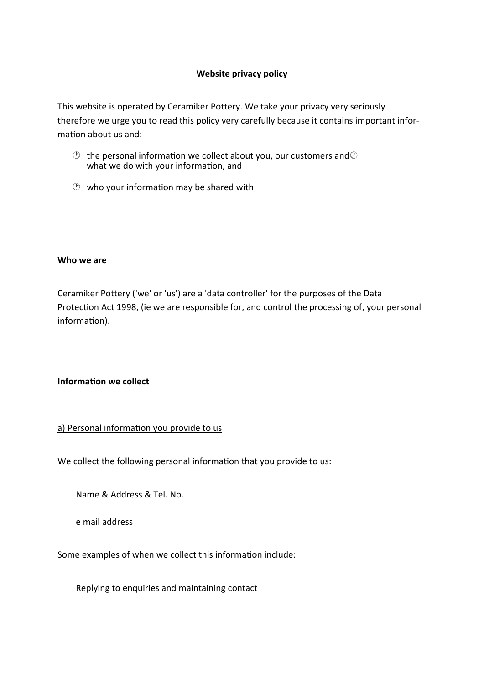### **Website privacy policy**

This website is operated by Ceramiker Pottery. We take your privacy very seriously therefore we urge you to read this policy very carefully because it contains important infor‐ mation about us and:

- $\circled{e}$  the personal information we collect about you, our customers and  $\circled{e}$ what we do with your information, and
- $\circled{v}$  who your information may be shared with

#### **Who we are**

Ceramiker Pottery ('we' or 'us') are a 'data controller' for the purposes of the Data Protection Act 1998, (ie we are responsible for, and control the processing of, your personal information).

#### **Informa�on we collect**

#### a) Personal information you provide to us

We collect the following personal information that you provide to us:

Name & Address & Tel. No.

e mail address

Some examples of when we collect this information include:

Replying to enquiries and maintaining contact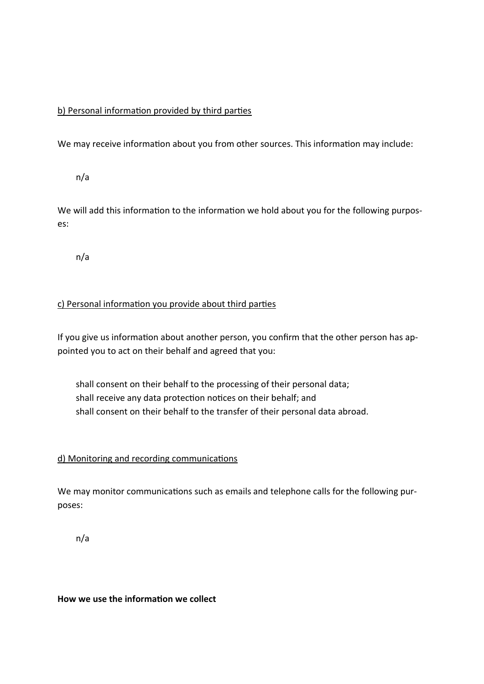# b) Personal information provided by third parties

We may receive information about you from other sources. This information may include:

n/a

We will add this information to the information we hold about you for the following purposes:

n/a

# c) Personal information you provide about third parties

If you give us information about another person, you confirm that the other person has appointed you to act on their behalf and agreed that you:

shall consent on their behalf to the processing of their personal data; shall receive any data protection notices on their behalf; and shall consent on their behalf to the transfer of their personal data abroad.

# d) Monitoring and recording communications

We may monitor communications such as emails and telephone calls for the following purposes:

n/a

**How we use the informa�on we collect**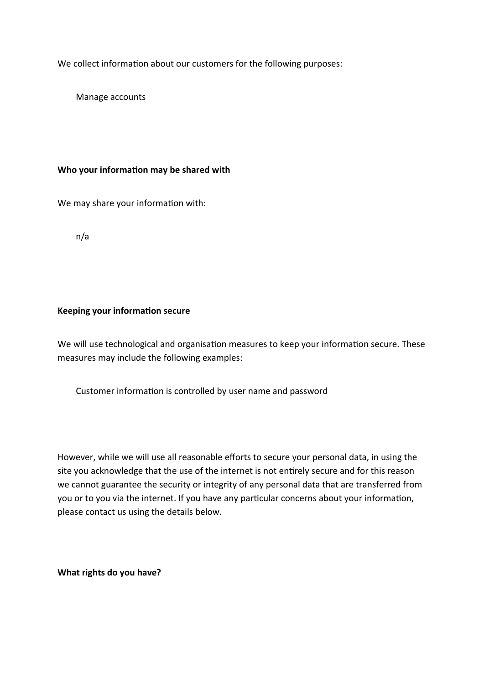We collect information about our customers for the following purposes:

Manage accounts

#### **Who your informa�on may be shared with**

We may share your information with:

n/a

#### **Keeping your informa�on secure**

We will use technological and organisation measures to keep your information secure. These measures may include the following examples:

Customer information is controlled by user name and password

However, while we will use all reasonable efforts to secure your personal data, in using the site you acknowledge that the use of the internet is not entirely secure and for this reason we cannot guarantee the security or integrity of any personal data that are transferred from you or to you via the internet. If you have any particular concerns about your information, please contact us using the details below.

**What rights do you have?**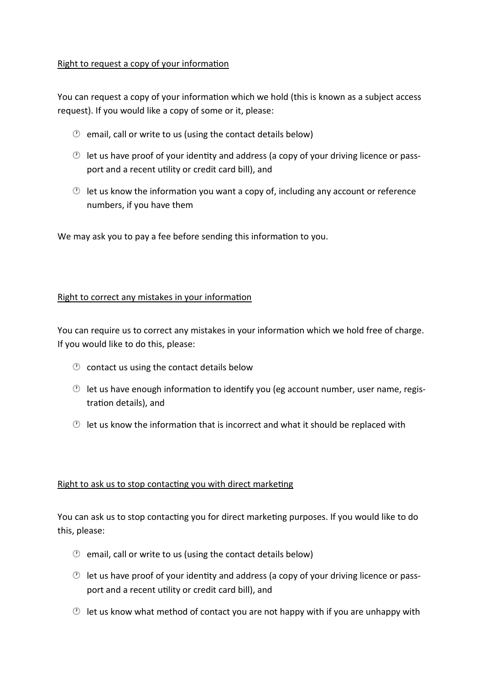### Right to request a copy of your information

You can request a copy of your information which we hold (this is known as a subject access request). If you would like a copy of some or it, please:

- $\circled{2}$  email, call or write to us (using the contact details below)
- $\circled{e}$  let us have proof of your identity and address (a copy of your driving licence or passport and a recent utility or credit card bill), and
- $\circled{e}$  let us know the information you want a copy of, including any account or reference numbers, if you have them

We may ask you to pay a fee before sending this information to you.

# Right to correct any mistakes in your information

You can require us to correct any mistakes in your information which we hold free of charge. If you would like to do this, please:

- $\circled{1}$  contact us using the contact details below
- $\circled{e}$  let us have enough information to identify you (eg account number, user name, registration details), and
- $\circled{1}$  let us know the information that is incorrect and what it should be replaced with

# Right to ask us to stop contacting you with direct marketing

You can ask us to stop contacting you for direct marketing purposes. If you would like to do this, please:

- $\circled{1}$  email, call or write to us (using the contact details below)
- $\circled{2}$  let us have proof of your identity and address (a copy of your driving licence or passport and a recent utility or credit card bill), and
- $\circled{e}$  let us know what method of contact you are not happy with if you are unhappy with